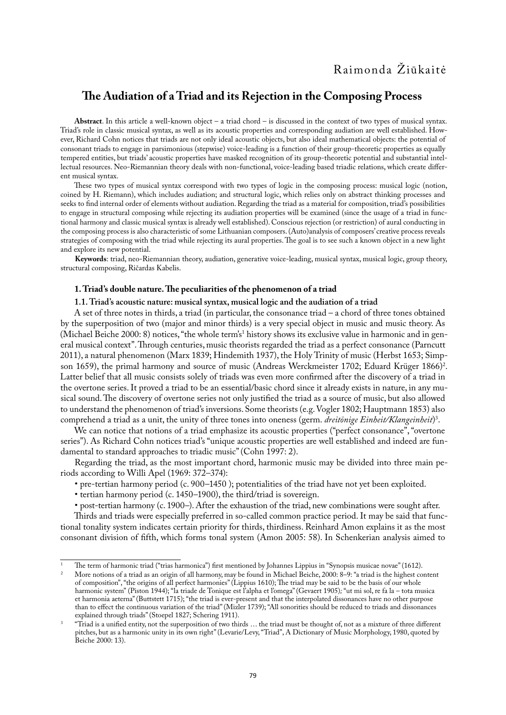# **The Audiation of a Triad and its Rejection in the Composing Process**

**Abstract**. In this article a well-known object – a triad chord – is discussed in the context of two types of musical syntax. Triad's role in classic musical syntax, as well as its acoustic properties and corresponding audiation are well established. However, Richard Cohn notices that triads are not only ideal acoustic objects, but also ideal mathematical objects: the potential of consonant triads to engage in parsimonious (stepwise) voice-leading is a function of their group-theoretic properties as equally tempered entities, but triads' acoustic properties have masked recognition of its group-theoretic potential and substantial intellectual resources. Neo-Riemannian theory deals with non-functional, voice-leading based triadic relations, which create different musical syntax.

These two types of musical syntax correspond with two types of logic in the composing process: musical logic (notion, coined by H. Riemann), which includes audiation; and structural logic, which relies only on abstract thinking processes and seeks to find internal order of elements without audiation. Regarding the triad as a material for composition, triad's possibilities to engage in structural composing while rejecting its audiation properties will be examined (since the usage of a triad in functional harmony and classic musical syntax is already well established). Conscious rejection (or restriction) of aural conducting in the composing process is also characteristic of some Lithuanian composers. (Auto)analysis of composers' creative process reveals strategies of composing with the triad while rejecting its aural properties. The goal is to see such a known object in a new light and explore its new potential.

**Keywords**: triad, neo-Riemannian theory, audiation, generative voice-leading, musical syntax, musical logic, group theory, structural composing, Ričardas Kabelis.

# **1. Triad's double nature. The peculiarities of the phenomenon of a triad**

# **1.1. Triad's acoustic nature: musical syntax, musical logic and the audiation of a triad**

A set of three notes in thirds, a triad (in particular, the consonance triad – a chord of three tones obtained by the superposition of two (major and minor thirds) is a very special object in music and music theory. As (Michael Beiche 2000: 8) notices, "the whole term's<sup>1</sup> history shows its exclusive value in harmonic and in general musical context". Through centuries, music theorists regarded the triad as a perfect consonance (Parncutt 2011), a natural phenomenon (Marx 1839; Hindemith 1937), the Holy Trinity of music (Herbst 1653; Simpson 1659), the primal harmony and source of music (Andreas Werckmeister 1702; Eduard Krüger 1866)<sup>2</sup>. Latter belief that all music consists solely of triads was even more confirmed after the discovery of a triad in the overtone series. It proved a triad to be an essential/basic chord since it already exists in nature, in any musical sound. The discovery of overtone series not only justified the triad as a source of music, but also allowed to understand the phenomenon of triad's inversions. Some theorists (e.g. Vogler 1802; Hauptmann 1853) also comprehend a triad as a unit, the unity of three tones into oneness (germ. *dreitönige Einheit/Klangeinheit*) 3 .

We can notice that notions of a triad emphasize its acoustic properties ("perfect consonance", "overtone" series"). As Richard Cohn notices triad's "unique acoustic properties are well established and indeed are fundamental to standard approaches to triadic music" (Cohn 1997: 2).

Regarding the triad, as the most important chord, harmonic music may be divided into three main periods according to Willi Apel (1969: 372–374):

- pre-tertian harmony period (c. 900–1450 ); potentialities of the triad have not yet been exploited.
- tertian harmony period (c. 1450–1900), the third/triad is sovereign.

• post-tertian harmony (c. 1900–). After the exhaustion of the triad, new combinations were sought after.

Thirds and triads were especially preferred in so-called common practice period. It may be said that functional tonality system indicates certain priority for thirds, thirdiness. Reinhard Amon explains it as the most consonant division of fifth, which forms tonal system (Amon 2005: 58). In Schenkerian analysis aimed to

<sup>1</sup> The term of harmonic triad ("trias harmonica") first mentioned by Johannes Lippius in "Synopsis musicae novae" (1612).

<sup>2</sup> More notions of a triad as an origin of all harmony, may be found in Michael Beiche, 2000: 8–9: "a triad is the highest content of composition", "the origins of all perfect harmonies" (Lippius 1610); The triad may be said to be the basis of our whole harmonic system" (Piston 1944); "la triade de Tonique est l'alpha et l'omega" (Gevaert 1905)*;* "ut mi sol, re fa la – tota musica et harmonia aeterna" (Buttstett 1715); "the triad is ever-present and that the interpolated dissonances have no other purpose than to effect the continuous variation of the triad" (Mizler 1739); "All sonorities should be reduced to triads and dissonances

explained through triads" (Stoepel 1827; Schering 1911).<br>"Triad is a unified entity, not the superposition of two thirds … the triad must be thought of, not as a mixture of three different pitches, but as a harmonic unity in its own right" (Levarie/Levy, "Triad", A Dictionary of Music Morphology, 1980, quoted by Beiche 2000: 13).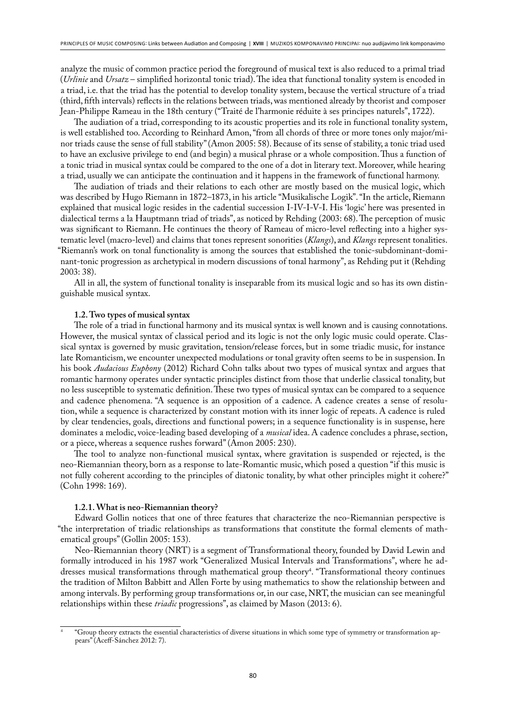analyze the music of common practice period the foreground of musical text is also reduced to a primal triad (*Urlinie* and *Ursatz* – simplified horizontal tonic triad). The idea that functional tonality system is encoded in a triad, i.e. that the triad has the potential to develop tonality system, because the vertical structure of a triad (third, fifth intervals) reflects in the relations between triads, was mentioned already by theorist and composer Jean-Philippe Rameau in the 18th century ("Traité de l'harmonie réduite à ses principes naturels", 1722).

The audiation of a triad, corresponding to its acoustic properties and its role in functional tonality system, is well established too. According to Reinhard Amon, "from all chords of three or more tones only major/minor triads cause the sense of full stability" (Amon 2005: 58). Because of its sense of stability, a tonic triad used to have an exclusive privilege to end (and begin) a musical phrase or a whole composition. Thus a function of a tonic triad in musical syntax could be compared to the one of a dot in literary text. Moreover, while hearing a triad, usually we can anticipate the continuation and it happens in the framework of functional harmony.

The audiation of triads and their relations to each other are mostly based on the musical logic, which was described by Hugo Riemann in 1872–1873, in his article "Musikalische Logik". "In the article, Riemann explained that musical logic resides in the cadential succession I-IV-I-V-I. His 'logic' here was presented in dialectical terms a la Hauptmann triad of triads", as noticed by Rehding (2003: 68). The perception of music was significant to Riemann. He continues the theory of Rameau of micro-level reflecting into a higher systematic level (macro-level) and claims that tones represent sonorities (*Klangs*), and *Klangs* represent tonalities. "Riemann's work on tonal functionality is among the sources that established the tonic-subdominant-dominant-tonic progression as archetypical in modern discussions of tonal harmony", as Rehding put it (Rehding 2003: 38).

All in all, the system of functional tonality is inseparable from its musical logic and so has its own distinguishable musical syntax.

## **1.2. Two types of musical syntax**

The role of a triad in functional harmony and its musical syntax is well known and is causing connotations. However, the musical syntax of classical period and its logic is not the only logic music could operate. Classical syntax is governed by music gravitation, tension/release forces, but in some triadic music, for instance late Romanticism, we encounter unexpected modulations or tonal gravity often seems to be in suspension. In his book *Audacious Euphony* (2012) Richard Cohn talks about two types of musical syntax and argues that romantic harmony operates under syntactic principles distinct from those that underlie classical tonality, but no less susceptible to systematic definition. These two types of musical syntax can be compared to a sequence and cadence phenomena. "A sequence is an opposition of a cadence. A cadence creates a sense of resolution, while a sequence is characterized by constant motion with its inner logic of repeats. A cadence is ruled by clear tendencies, goals, directions and functional powers; in a sequence functionality is in suspense, here dominates a melodic, voice-leading based developing of a *musical* idea. A cadence concludes a phrase, section, or a piece, whereas a sequence rushes forward" (Amon 2005: 230).

The tool to analyze non-functional musical syntax, where gravitation is suspended or rejected, is the neo-Riemannian theory, born as a response to late-Romantic music, which posed a question "if this music is not fully coherent according to the principles of diatonic tonality, by what other principles might it cohere?" (Cohn 1998: 169).

### **1.2.1. What is neo-Riemannian theory?**

Edward Gollin notices that one of three features that characterize the neo-Riemannian perspective is "the interpretation of triadic relationships as transformations that constitute the formal elements of mathematical groups" (Gollin 2005: 153).

Neo‐Riemannian theory (NRT) is a segment of Transformational theory, founded by David Lewin and formally introduced in his 1987 work "Generalized Musical Intervals and Transformations", where he addresses musical transformations through mathematical group theory<sup>4</sup>. "Transformational theory continues the tradition of Milton Babbitt and Allen Forte by using mathematics to show the relationship between and among intervals. By performing group transformations or, in our case, NRT, the musician can see meaningful relationships within these *triadic* progressions", as claimed by Mason (2013: 6).

<sup>4</sup> "Group theory extracts the essential characteristics of diverse situations in which some type of symmetry or transformation appears" (Aceff-Sánchez 2012: 7).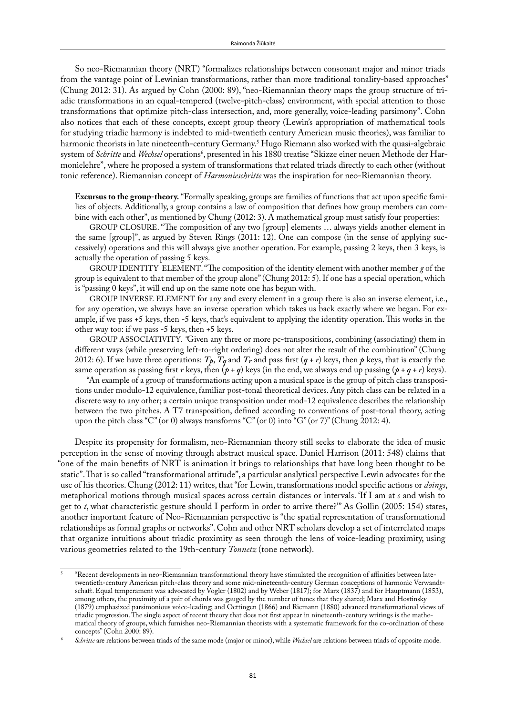So neo-Riemannian theory (NRT) "formalizes relationships between consonant major and minor triads from the vantage point of Lewinian transformations, rather than more traditional tonality-based approaches" (Chung 2012: 31). As argued by Cohn (2000: 89), "neo-Riemannian theory maps the group structure of triadic transformations in an equal-tempered (twelve-pitch-class) environment, with special attention to those transformations that optimize pitch-class intersection, and, more generally, voice-leading parsimony". Cohn also notices that each of these concepts, except group theory (Lewin's appropriation of mathematical tools for studying triadic harmony is indebted to mid-twentieth century American music theories), was familiar to harmonic theorists in late nineteenth-century Germany.5 Hugo Riemann also worked with the quasi-algebraic system of *Schritte* and *Wechsel* operations<sup>6</sup>, presented in his 1880 treatise "Skizze einer neuen Methode der Harmonielehre", where he proposed a system of transformations that related triads directly to each other (without tonic reference). Riemannian concept of *Harmonieschritte* was the inspiration for neo-Riemannian theory.

**Excursus to the group-theory.** "Formally speaking, groups are families of functions that act upon specific families of objects. Additionally, a group contains a law of composition that defines how group members can combine with each other", as mentioned by Chung (2012: 3). A mathematical group must satisfy four properties:

GROUP CLOSURE. "The composition of any two [group] elements … always yields another element in the same [group]", as argued by Steven Rings (2011: 12). One can compose (in the sense of applying successively) operations and this will always give another operation. For example, passing 2 keys, then 3 keys, is actually the operation of passing 5 keys.

GROUP IDENTITY ELEMENT. "The composition of the identity element with another member *g* of the group is equivalent to that member of the group alone" (Chung 2012: 5). If one has a special operation, which is "passing 0 keys", it will end up on the same note one has begun with.

GROUP INVERSE ELEMENT for any and every element in a group there is also an inverse element, i.e., for any operation, we always have an inverse operation which takes us back exactly where we began. For example, if we pass +5 keys, then -5 keys, that's equivalent to applying the identity operation. This works in the other way too: if we pass -5 keys, then +5 keys.

GROUP ASSOCIATIVITY. *"*Given any three or more pc-transpositions, combining (associating) them in different ways (while preserving left-to-right ordering) does not alter the result of the combination" (Chung 2012: 6). If we have three operations:  $T_p$ ,  $T_q$  and  $T_r$  and pass first  $(q + r)$  keys, then  $p$  keys, that is exactly the same operation as passing first *r* keys, then  $(p + q)$  keys (in the end, we always end up passing  $(p + q + r)$  keys).

"An example of a group of transformations acting upon a musical space is the group of pitch class transpositions under modulo-12 equivalence, familiar post-tonal theoretical devices. Any pitch class can be related in a discrete way to any other; a certain unique transposition under mod-12 equivalence describes the relationship between the two pitches. A T7 transposition, defined according to conventions of post-tonal theory, acting upon the pitch class "C" (or 0) always transforms "C" (or 0) into "G" (or 7)" (Chung 2012: 4).

Despite its propensity for formalism, neo-Riemannian theory still seeks to elaborate the idea of music perception in the sense of moving through abstract musical space. Daniel Harrison (2011: 548) claims that "one of the main benefits of NRT is animation it brings to relationships that have long been thought to be static". That is so called "transformational attitude", a particular analytical perspective Lewin advocates for the use of his theories. Chung (2012: 11) writes, that "for Lewin, transformations model specific actions or *doings*, metaphorical motions through musical spaces across certain distances or intervals. 'If I am at *s* and wish to get to *t*, what characteristic gesture should I perform in order to arrive there?'" As Gollin (2005: 154) states, another important feature of Neo-Riemannian perspective is "the spatial representation of transformational relationships as formal graphs or networks". Cohn and other NRT scholars develop a set of interrelated maps that organize intuitions about triadic proximity as seen through the lens of voice-leading proximity, using various geometries related to the 19th-century *Tonnetz* (tone network).

<sup>5</sup> "Recent developments in neo-Riemannian transformational theory have stimulated the recognition of affinities between latetwentieth-century American pitch-class theory and some mid-nineteenth-century German conceptions of harmonic Verwandtschaft. Equal temperament was advocated by Vogler (1802) and by Weber (1817); for Marx (1837) and for Hauptmann (1853), among others, the proximity of a pair of chords was gauged by the number of tones that they shared; Marx and Hostinsky (1879) emphasized parsimonious voice-leading; and Oettingen (1866) and Riemann (1880) advanced transformational views of triadic progression. The single aspect of recent theory that does not first appear in nineteenth-century writings is the mathematical theory of groups, which furnishes neo-Riemannian theorists with a systematic framework for the co-ordination of these concepts" (Cohn 2000: 89).

<sup>6</sup> *Schritte* are relations between triads of the same mode (major or minor), while *Wechsel* are relations between triads of opposite mode.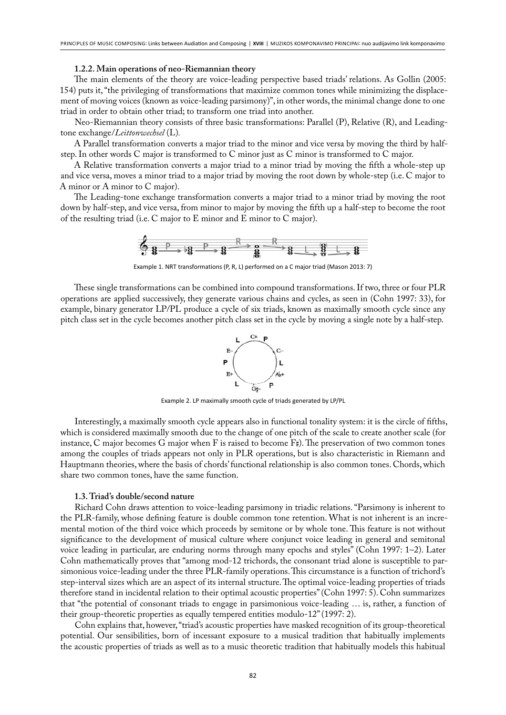#### **1.2.2. Main operations of neo-Riemannian theory**

The main elements of the theory are voice-leading perspective based triads' relations. As Gollin (2005: 154) puts it, "the privileging of transformations that maximize common tones while minimizing the displacement of moving voices (known as voice-leading parsimony)", in other words, the minimal change done to one triad in order to obtain other triad; to transform one triad into another.

Neo-Riemannian theory consists of three basic transformations: Parallel (P), Relative (R), and Leadingtone exchange/*Leittonwechsel* (L)*.*

A Parallel transformation converts a major triad to the minor and vice versa by moving the third by halfstep. In other words C major is transformed to C minor just as C minor is transformed to C major.

A Relative transformation converts a major triad to a minor triad by moving the fifth a whole-step up and vice versa, moves a minor triad to a major triad by moving the root down by whole-step (i.e. C major to A minor or A minor to C major).

The Leading-tone exchange transformation converts a major triad to a minor triad by moving the root down by half‐step, and vice versa, from minor to major by moving the fifth up a half-step to become the root of the resulting triad (i.e. C major to E minor and E minor to C major).



Example 1. NRT transformations (P, R, L) performed on a C major triad (Mason 2013: 7)

These single transformations can be combined into compound transformations. If two, three or four PLR operations are applied successively, they generate various chains and cycles, as seen in (Cohn 1997: 33), for example, binary generator LP/PL produce a cycle of six triads, known as maximally smooth cycle since any pitch class set in the cycle becomes another pitch class set in the cycle by moving a single note by a half-step.



Example 2. LP maximally smooth cycle of triads generated by LP/PL

Interestingly, a maximally smooth cycle appears also in functional tonality system: it is the circle of fifths, which is considered maximally smooth due to the change of one pitch of the scale to create another scale (for instance, C major becomes G major when F is raised to become  $F\sharp$ ). The preservation of two common tones among the couples of triads appears not only in PLR operations, but is also characteristic in Riemann and Hauptmann theories, where the basis of chords' functional relationship is also common tones. Chords, which share two common tones, have the same function.

# **1.3. Triad's double/second nature**

Richard Cohn draws attention to voice-leading parsimony in triadic relations. "Parsimony is inherent to the PLR-family, whose defining feature is double common tone retention. What is not inherent is an incremental motion of the third voice which proceeds by semitone or by whole tone. This feature is not without significance to the development of musical culture where conjunct voice leading in general and semitonal voice leading in particular, are enduring norms through many epochs and styles" (Cohn 1997: 1–2). Later Cohn mathematically proves that "among mod-12 trichords, the consonant triad alone is susceptible to parsimonious voice-leading under the three PLR-family operations. This circumstance is a function of trichord's step-interval sizes which are an aspect of its internal structure. The optimal voice-leading properties of triads therefore stand in incidental relation to their optimal acoustic properties" (Cohn 1997: 5). Cohn summarizes that "the potential of consonant triads to engage in parsimonious voice-leading … is, rather, a function of their group-theoretic properties as equally tempered entities modulo-12" (1997: 2).

Cohn explains that, however, "triad's acoustic properties have masked recognition of its group-theoretical potential. Our sensibilities, born of incessant exposure to a musical tradition that habitually implements the acoustic properties of triads as well as to a music theoretic tradition that habitually models this habitual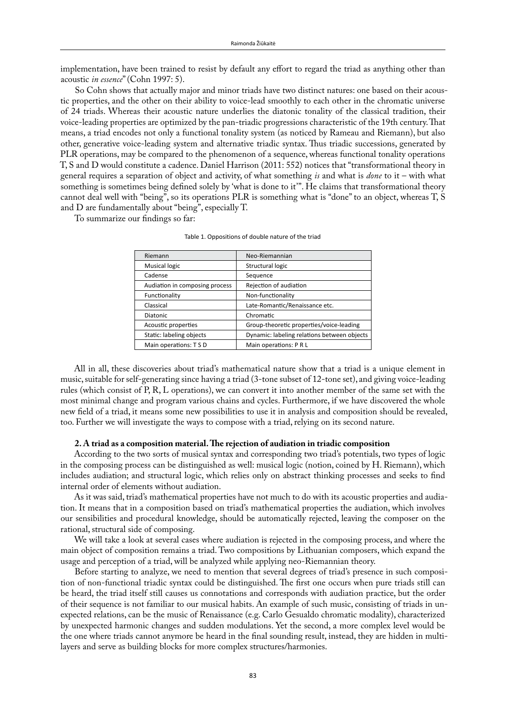implementation, have been trained to resist by default any effort to regard the triad as anything other than acoustic *in essence*" (Cohn 1997: 5).

So Cohn shows that actually major and minor triads have two distinct natures: one based on their acoustic properties, and the other on their ability to voice-lead smoothly to each other in the chromatic universe of 24 triads. Whereas their acoustic nature underlies the diatonic tonality of the classical tradition, their voice-leading properties are optimized by the pan-triadic progressions characteristic of the 19th century. That means, a triad encodes not only a functional tonality system (as noticed by Rameau and Riemann), but also other, generative voice-leading system and alternative triadic syntax. Thus triadic successions, generated by PLR operations, may be compared to the phenomenon of a sequence, whereas functional tonality operations T, S and D would constitute a cadence. Daniel Harrison (2011: 552) notices that "transformational theory in general requires a separation of object and activity, of what something *is* and what is *done* to it – with what something is sometimes being defined solely by 'what is done to it'". He claims that transformational theory cannot deal well with "being", so its operations PLR is something what is "done" to an object, whereas T, S and D are fundamentally about "being", especially T.

To summarize our findings so far:

| Riemann                        | Neo-Riemannian                              |
|--------------------------------|---------------------------------------------|
| <b>Musical logic</b>           | Structural logic                            |
| Cadense                        | Sequence                                    |
| Audiation in composing process | Rejection of audiation                      |
| Functionality                  | Non-functionality                           |
| Classical                      | Late-Romantic/Renaissance etc.              |
| <b>Diatonic</b>                | Chromatic                                   |
| Acoustic properties            | Group-theoretic properties/voice-leading    |
| Static: labeling objects       | Dynamic: labeling relations between obiects |
| Main operations: T S D         | Main operations: P R L                      |

Table 1. Oppositions of double nature of the triad

All in all, these discoveries about triad's mathematical nature show that a triad is a unique element in music, suitable for self-generating since having a triad (3-tone subset of 12-tone set), and giving voice-leading rules (which consist of P, R, L operations), we can convert it into another member of the same set with the most minimal change and program various chains and cycles. Furthermore, if we have discovered the whole new field of a triad, it means some new possibilities to use it in analysis and composition should be revealed, too. Further we will investigate the ways to compose with a triad, relying on its second nature.

## **2. A triad as a composition material. The rejection of audiation in triadic composition**

According to the two sorts of musical syntax and corresponding two triad's potentials, two types of logic in the composing process can be distinguished as well: musical logic (notion, coined by H. Riemann), which includes audiation; and structural logic, which relies only on abstract thinking processes and seeks to find internal order of elements without audiation.

As it was said, triad's mathematical properties have not much to do with its acoustic properties and audiation. It means that in a composition based on triad's mathematical properties the audiation, which involves our sensibilities and procedural knowledge, should be automatically rejected, leaving the composer on the rational, structural side of composing.

We will take a look at several cases where audiation is rejected in the composing process, and where the main object of composition remains a triad. Two compositions by Lithuanian composers, which expand the usage and perception of a triad, will be analyzed while applying neo-Riemannian theory.

Before starting to analyze, we need to mention that several degrees of triad's presence in such composition of non-functional triadic syntax could be distinguished. The first one occurs when pure triads still can be heard, the triad itself still causes us connotations and corresponds with audiation practice, but the order of their sequence is not familiar to our musical habits. An example of such music, consisting of triads in unexpected relations, can be the music of Renaissance (e.g. Carlo Gesualdo chromatic modality), characterized by unexpected harmonic changes and sudden modulations. Yet the second, a more complex level would be the one where triads cannot anymore be heard in the final sounding result, instead, they are hidden in multilayers and serve as building blocks for more complex structures/harmonies.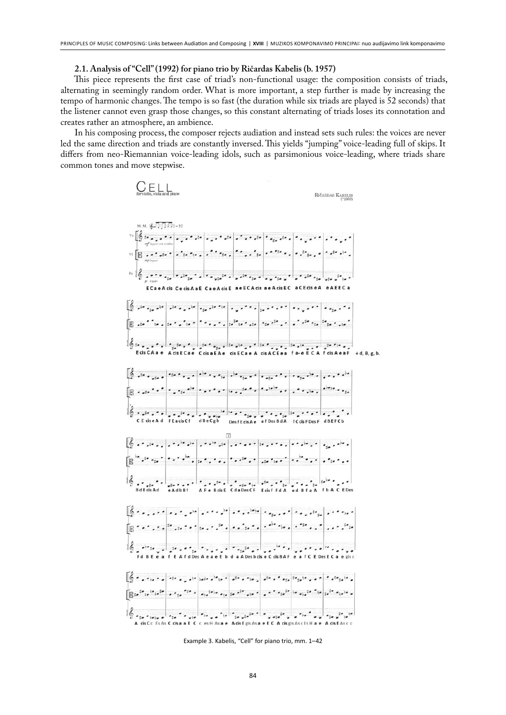#### **2.1. Analysis of "Cell" (1992) for piano trio by Ričardas Kabelis (b. 1957)**

This piece represents the first case of triad's non-functional usage: the composition consists of triads, alternating in seemingly random order. What is more important, a step further is made by increasing the tempo of harmonic changes. The tempo is so fast (the duration while six triads are played is 52 seconds) that the listener cannot even grasp those changes, so this constant alternating of triads loses its connotation and creates rather an atmosphere, an ambience.

In his composing process, the composer rejects audiation and instead sets such rules: the voices are never led the same direction and triads are constantly inversed. This yields "jumping" voice-leading full of skips. It differs from neo-Riemannian voice-leading idols, such as parsimonious voice-leading, where triads share common tones and move stepwise.



Example 3. Kabelis, "Cell" for piano trio, mm. 1–42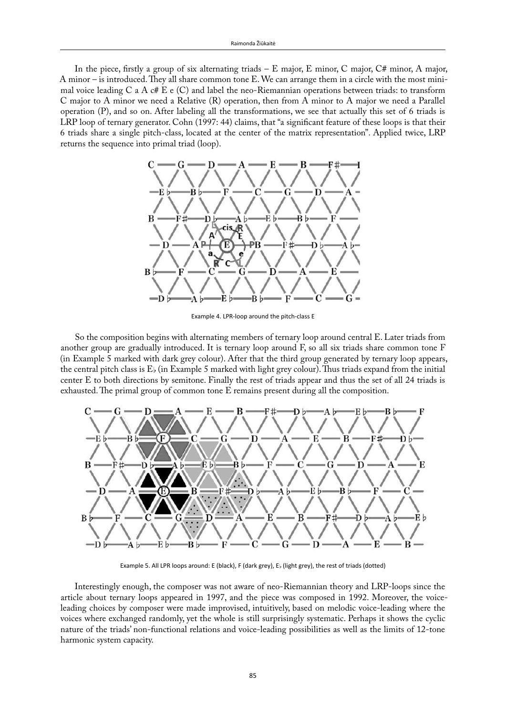In the piece, firstly a group of six alternating triads – E major, E minor, C major, C# minor, A major, A minor – is introduced. They all share common tone E. We can arrange them in a circle with the most minimal voice leading C a A c# E e (C) and label the neo-Riemannian operations between triads: to transform C major to A minor we need a Relative (R) operation, then from A minor to A major we need a Parallel operation (P), and so on. After labeling all the transformations, we see that actually this set of 6 triads is LRP loop of ternary generator. Cohn (1997: 44) claims, that "a significant feature of these loops is that their 6 triads share a single pitch-class, located at the center of the matrix representation". Applied twice, LRP returns the sequence into primal triad (loop).



Example 4. LPR-loop around the pitch-class E

So the composition begins with alternating members of ternary loop around central E. Later triads from another group are gradually introduced. It is ternary loop around F, so all six triads share common tone F (in Example 5 marked with dark grey colour). After that the third group generated by ternary loop appears, the central pitch class is  $E_{\flat}$  (in Example 5 marked with light grey colour). Thus triads expand from the initial center E to both directions by semitone. Finally the rest of triads appear and thus the set of all 24 triads is exhausted. The primal group of common tone E remains present during all the composition.



Example 5. All LPR loops around: E (black), F (dark grey), E; (light grey), the rest of triads (dotted)

Interestingly enough, the composer was not aware of neo-Riemannian theory and LRP-loops since the article about ternary loops appeared in 1997, and the piece was composed in 1992. Moreover, the voiceleading choices by composer were made improvised, intuitively, based on melodic voice-leading where the voices where exchanged randomly, yet the whole is still surprisingly systematic. Perhaps it shows the cyclic nature of the triads' non-functional relations and voice-leading possibilities as well as the limits of 12-tone harmonic system capacity.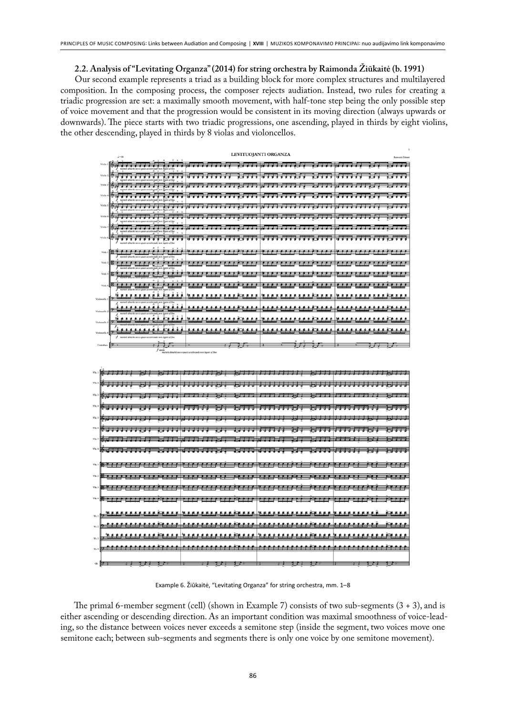**2.2. Analysis of "Levitating Organza" (2014) for string orchestra by Raimonda Žiūkaitė (b. 1991)**

Our second example represents a triad as a building block for more complex structures and multilayered composition. In the composing process, the composer rejects audiation. Instead, two rules for creating a triadic progression are set: a maximally smooth movement, with half-tone step being the only possible step of voice movement and that the progression would be consistent in its moving direction (always upwards or downwards). The piece starts with two triadic progressions, one ascending, played in thirds by eight violins, the other descending, played in thirds by 8 violas and violoncellos.

|                    | $1 - 80$                                                                                       | Reimondo Zidinak                                                   |                          |                                                                                                            |
|--------------------|------------------------------------------------------------------------------------------------|--------------------------------------------------------------------|--------------------------|------------------------------------------------------------------------------------------------------------|
| Violin             |                                                                                                | 16 T T T                                                           | ,,,,,,,,,,,,,,,,,        |                                                                                                            |
| Violin:            | ,,,,,,,,,<br>an al fina                                                                        |                                                                    | .                        | 1.777<br>.<br>1.1.1                                                                                        |
| Violin:            | .                                                                                              | __________________________________<br>$\epsilon$ , , , , , , , , , |                          | .                                                                                                          |
| Violin             |                                                                                                |                                                                    |                          | .                                                                                                          |
| Violin !           |                                                                                                |                                                                    |                          | 1.1.1.1                                                                                                    |
|                    | .<br>7                                                                                         | नन अन्य स<br>,,,,,,,,,,,,                                          | -----------              | .                                                                                                          |
| Violin'            | ▓ <del>▓▊▊▊▊▐▜▜▜▐▕▋▊▊▜▜▊▓▋▊</del> ▗▋ <del>▋</del>                                              | ,,,,,,,,,,,,,,,,,,,                                                | 75555555555              |                                                                                                            |
| Violin 8           | , <del>, , , , , , ,</del><br>۰,<br>martelé détaché secce quasi accelerando non legate al fine | **********<br>.                                                    | <del>.</del> .<br>.      | ,,,,,<br>.                                                                                                 |
| Viola 1            |                                                                                                |                                                                    |                          | <u>. 41443111111123 1234 1235 1236 1237 1238 1239 1231 1232 1233 1234 1235 1236 1236 1236 1236 1236 12</u> |
|                    |                                                                                                |                                                                    |                          |                                                                                                            |
| Viela 3            | 89 <i>, , , , , , , , , , , , , , , , , ,</i> , , ,                                            |                                                                    |                          | , , , , , , ,                                                                                              |
|                    |                                                                                                |                                                                    |                          |                                                                                                            |
| Viela 4            | ----------                                                                                     | <u> 233321332233</u>                                               |                          | 프로프로프로프로프                                                                                                  |
| Violencello        |                                                                                                |                                                                    |                          |                                                                                                            |
| <b>Violenzalle</b> |                                                                                                |                                                                    |                          |                                                                                                            |
|                    |                                                                                                |                                                                    | <b>***************</b>   | * * * * * * * *<br>* * * <i>*</i> * * * *                                                                  |
|                    | 气                                                                                              | . <i>.</i>                                                         | .                        | .                                                                                                          |
|                    | f marteli ditaché secon quasi accelerando non legato al fine                                   |                                                                    |                          |                                                                                                            |
|                    | $f$ simile                                                                                     | martelé détaché secco quasi accelerando non legato al fine         |                          |                                                                                                            |
|                    |                                                                                                |                                                                    |                          |                                                                                                            |
|                    | ▓▁▛▛▛▋                                                                                         |                                                                    |                          |                                                                                                            |
|                    |                                                                                                |                                                                    |                          | न क                                                                                                        |
|                    |                                                                                                | ---------                                                          | 53 S T<br>27 7 7 8 7 7 8 | 222                                                                                                        |
|                    |                                                                                                | <b>BBBB</b><br>5333                                                | .<br>兵兵兵手                | ===                                                                                                        |
|                    |                                                                                                |                                                                    |                          |                                                                                                            |
|                    |                                                                                                |                                                                    |                          |                                                                                                            |

|  |  | " (authority and annual and annual bit and annual ban-                                                                 |  |  |  |  |  |  |  |  |  |
|--|--|------------------------------------------------------------------------------------------------------------------------|--|--|--|--|--|--|--|--|--|
|  |  | : CHARLES במודר הרבה, דול בה הדה הוא הרבה הדה הדה, הוא הרבה הרבה) ו                                                    |  |  |  |  |  |  |  |  |  |
|  |  | " (annung unung kungung pang pang mula                                                                                 |  |  |  |  |  |  |  |  |  |
|  |  |                                                                                                                        |  |  |  |  |  |  |  |  |  |
|  |  | voj <del>s kara poznaj poznaj poznata po da poznata poznata je za poznaj poznata je za poznata je bio je za na p</del> |  |  |  |  |  |  |  |  |  |
|  |  | - <del>Purururur arara no arara no arara in No</del>                                                                   |  |  |  |  |  |  |  |  |  |
|  |  |                                                                                                                        |  |  |  |  |  |  |  |  |  |
|  |  | wii ituu waa kan uu wa maruu maruu kun watii ituu                                                                      |  |  |  |  |  |  |  |  |  |
|  |  |                                                                                                                        |  |  |  |  |  |  |  |  |  |
|  |  |                                                                                                                        |  |  |  |  |  |  |  |  |  |
|  |  |                                                                                                                        |  |  |  |  |  |  |  |  |  |
|  |  |                                                                                                                        |  |  |  |  |  |  |  |  |  |
|  |  |                                                                                                                        |  |  |  |  |  |  |  |  |  |
|  |  | . Surgeon and the theory of the state of the state of the state of the state of the state of the state of the s        |  |  |  |  |  |  |  |  |  |

Example 6. Žiūkaitė, "Levitating Organza" for string orchestra, mm. 1–8

The primal 6-member segment (cell) (shown in Example 7) consists of two sub-segments (3 + 3), and is either ascending or descending direction. As an important condition was maximal smoothness of voice-leading, so the distance between voices never exceeds a semitone step (inside the segment, two voices move one semitone each; between sub-segments and segments there is only one voice by one semitone movement).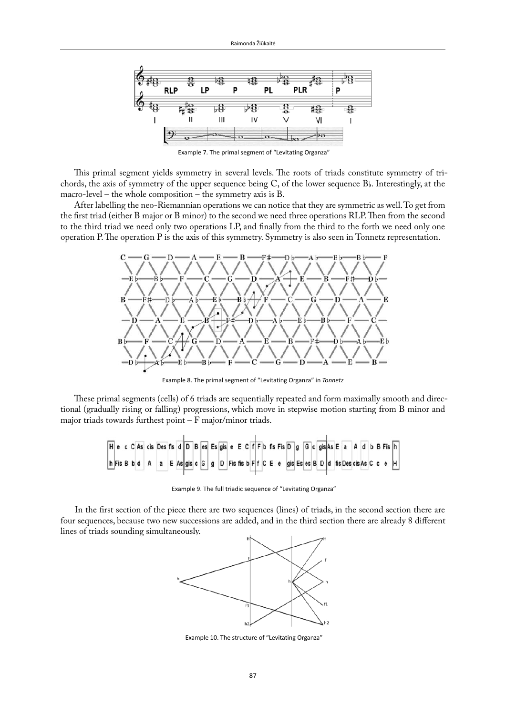

Example 7. The primal segment of "Levitating Organza"

This primal segment yields symmetry in several levels. The roots of triads constitute symmetry of trichords, the axis of symmetry of the upper sequence being  $C$ , of the lower sequence  $B$ . Interestingly, at the macro-level – the whole composition – the symmetry axis is B.

After labelling the neo-Riemannian operations we can notice that they are symmetric as well. To get from the first triad (either B major or B minor) to the second we need three operations RLP. Then from the second to the third triad we need only two operations LP, and finally from the third to the forth we need only one operation P. The operation P is the axis of this symmetry. Symmetry is also seen in Tonnetz representation.



Example 8. The primal segment of "Levitating Organza" in *Tonnetz*

These primal segments (cells) of 6 triads are sequentially repeated and form maximally smooth and directional (gradually rising or falling) progressions, which move in stepwise motion starting from B minor and major triads towards furthest point – F major/minor triads.

Example 9. The full triadic sequence of "Levitating Organza"

In the first section of the piece there are two sequences (lines) of triads, in the second section there are four sequences, because two new successions are added, and in the third section there are already 8 different lines of triads sounding simultaneously.



Example 10. The structure of "Levitating Organza"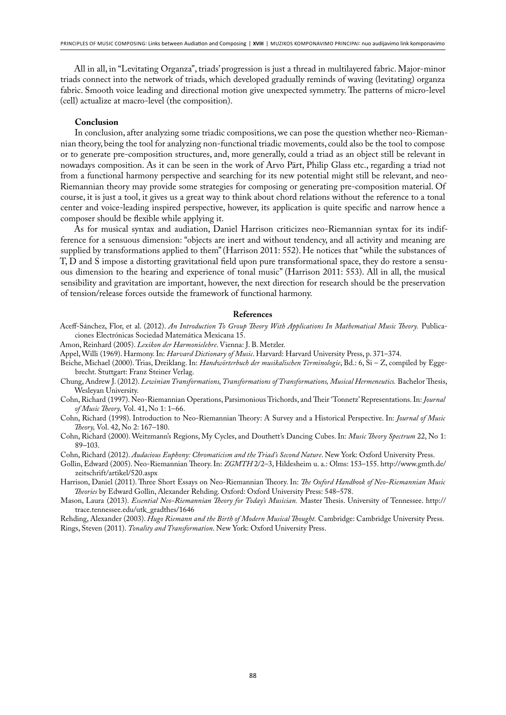All in all, in "Levitating Organza", triads' progression is just a thread in multilayered fabric. Major-minor triads connect into the network of triads, which developed gradually reminds of waving (levitating) organza fabric. Smooth voice leading and directional motion give unexpected symmetry. The patterns of micro-level (cell) actualize at macro-level (the composition).

## **Conclusion**

In conclusion, after analyzing some triadic compositions, we can pose the question whether neo-Riemannian theory, being the tool for analyzing non-functional triadic movements, could also be the tool to compose or to generate pre-composition structures, and, more generally, could a triad as an object still be relevant in nowadays composition. As it can be seen in the work of Arvo Pärt, Philip Glass etc., regarding a triad not from a functional harmony perspective and searching for its new potential might still be relevant, and neo-Riemannian theory may provide some strategies for composing or generating pre-composition material. Of course, it is just a tool, it gives us a great way to think about chord relations without the reference to a tonal center and voice-leading inspired perspective, however, its application is quite specific and narrow hence a composer should be flexible while applying it.

As for musical syntax and audiation, Daniel Harrison criticizes neo-Riemannian syntax for its indifference for a sensuous dimension: "objects are inert and without tendency, and all activity and meaning are supplied by transformations applied to them" (Harrison 2011: 552). He notices that "while the substances of T, D and S impose a distorting gravitational field upon pure transformational space, they do restore a sensuous dimension to the hearing and experience of tonal music" (Harrison 2011: 553). All in all, the musical sensibility and gravitation are important, however, the next direction for research should be the preservation of tension/release forces outside the framework of functional harmony.

#### **References**

Aceff-Sánchez, Flor, et al. (2012). *An Introduction To Group Theory With Applications In Mathematical Music Theory.* Publicaciones Electrónicas Sociedad Matemática Mexicana 15.

Amon, Reinhard (2005). *Lexikon der Harmonielehre*. Vienna: J. B. Metzler.

- Appel, Willi (1969). Harmony. In: *Harvard Dictionary of Music*. Harvard: Harvard University Press, p. 371–374.
- Beiche, Michael (2000). Trias, Dreiklang. In: *Handwörterbuch der musikalischen Terminologie*, Bd.: 6, Si Z, compiled by Eggebrecht. Stuttgart: Franz Steiner Verlag.
- Chung, Andrew J. (2012). *Lewinian Transformations, Transformations of Transformations, Musical Hermeneutics.* Bachelor Thesis, Wesleyan University.
- Cohn, Richard (1997). Neo-Riemannian Operations, Parsimonious Trichords, and Their 'Tonnetz' Representations. In: *Journal of Music Theory,* Vol. 41, No 1: 1–66.
- Cohn, Richard (1998). Introduction to Neo-Riemannian Theory: A Survey and a Historical Perspective. In: *Journal of Music Theory,* Vol. 42, No 2: 167–180.
- Cohn, Richard (2000). Weitzmann's Regions, My Cycles, and Douthett's Dancing Cubes. In: *Music Theory Spectrum* 22, No 1: 89–103.

Cohn, Richard (2012). *Audacious Euphony: Chromaticism and the Triad's Second Nature*. New York: Oxford University Press.

- Gollin, Edward (2005). Neo-Riemannian Theory. In: *ZGMTH* 2/2–3, Hildesheim u. a.: Olms: 153–155. http://www.gmth.de/ zeitschrift/artikel/520.aspx
- Harrison, Daniel (2011). Three Short Essays on Neo-Riemannian Theory. In: *The Oxford Handbook of Neo-Riemannian Music Theories* by Edward Gollin, Alexander Rehding. Oxford: Oxford University Press: 548–578.
- Mason, Laura (2013). *Essential Neo-Riemannian Theory for Today's Musician.* Master Thesis. University of Tennessee. http:// trace.tennessee.edu/utk\_gradthes/1646
- Rehding, Alexander (2003). *Hugo Riemann and the Birth of Modern Musical Thought.* Cambridge: Cambridge University Press. Rings, Steven (2011). *Tonality and Transformation*. New York: Oxford University Press.